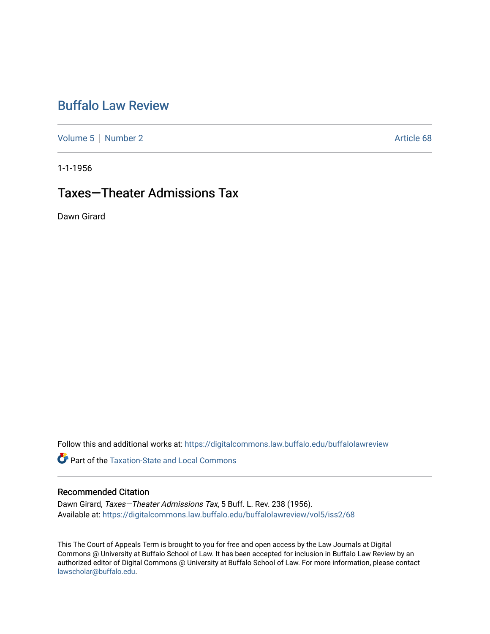# [Buffalo Law Review](https://digitalcommons.law.buffalo.edu/buffalolawreview)

[Volume 5](https://digitalcommons.law.buffalo.edu/buffalolawreview/vol5) | [Number 2](https://digitalcommons.law.buffalo.edu/buffalolawreview/vol5/iss2) Article 68

1-1-1956

## Taxes—Theater Admissions Tax

Dawn Girard

Follow this and additional works at: [https://digitalcommons.law.buffalo.edu/buffalolawreview](https://digitalcommons.law.buffalo.edu/buffalolawreview?utm_source=digitalcommons.law.buffalo.edu%2Fbuffalolawreview%2Fvol5%2Fiss2%2F68&utm_medium=PDF&utm_campaign=PDFCoverPages) 

**C** Part of the Taxation-State and Local Commons

## Recommended Citation

Dawn Girard, Taxes—Theater Admissions Tax, 5 Buff. L. Rev. 238 (1956). Available at: [https://digitalcommons.law.buffalo.edu/buffalolawreview/vol5/iss2/68](https://digitalcommons.law.buffalo.edu/buffalolawreview/vol5/iss2/68?utm_source=digitalcommons.law.buffalo.edu%2Fbuffalolawreview%2Fvol5%2Fiss2%2F68&utm_medium=PDF&utm_campaign=PDFCoverPages) 

This The Court of Appeals Term is brought to you for free and open access by the Law Journals at Digital Commons @ University at Buffalo School of Law. It has been accepted for inclusion in Buffalo Law Review by an authorized editor of Digital Commons @ University at Buffalo School of Law. For more information, please contact [lawscholar@buffalo.edu](mailto:lawscholar@buffalo.edu).